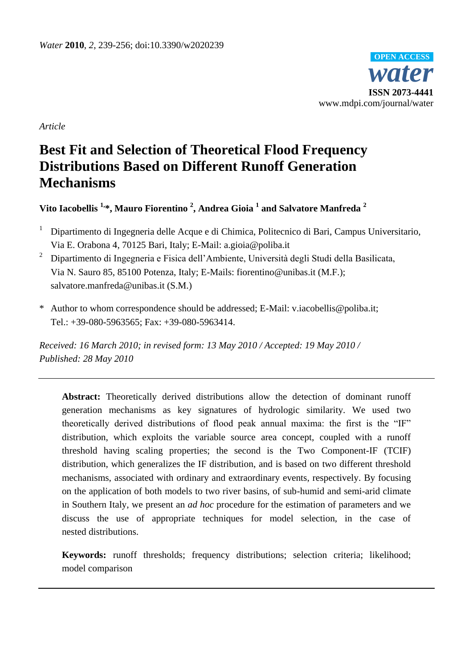

*Article*

# **Best Fit and Selection of Theoretical Flood Frequency Distributions Based on Different Runoff Generation Mechanisms**

# **Vito Iacobellis 1,\*, Mauro Fiorentino <sup>2</sup> , Andrea Gioia <sup>1</sup> and Salvatore Manfreda <sup>2</sup>**

- <sup>1</sup> Dipartimento di Ingegneria delle Acque e di Chimica, Politecnico di Bari, Campus Universitario, Via E. Orabona 4, 70125 Bari, Italy; E-Mail: a.gioia@poliba.it
- <sup>2</sup> Dipartimento di Ingegneria e Fisica dell'Ambiente, Università degli Studi della Basilicata, Via N. Sauro 85, 85100 Potenza, Italy; E-Mails: fiorentino@unibas.it (M.F.); salvatore.manfreda@unibas.it (S.M.)
- \* Author to whom correspondence should be addressed; E-Mail: v.iacobellis@poliba.it; Tel.: +39-080-5963565; Fax: +39-080-5963414.

*Received: 16 March 2010; in revised form: 13 May 2010 / Accepted: 19 May 2010 / Published: 28 May 2010*

**Abstract:** Theoretically derived distributions allow the detection of dominant runoff generation mechanisms as key signatures of hydrologic similarity. We used two theoretically derived distributions of flood peak annual maxima: the first is the "IF" distribution, which exploits the variable source area concept, coupled with a runoff threshold having scaling properties; the second is the Two Component-IF (TCIF) distribution, which generalizes the IF distribution, and is based on two different threshold mechanisms, associated with ordinary and extraordinary events, respectively. By focusing on the application of both models to two river basins, of sub-humid and semi-arid climate in Southern Italy, we present an *ad hoc* procedure for the estimation of parameters and we discuss the use of appropriate techniques for model selection, in the case of nested distributions.

**Keywords:** runoff thresholds; frequency distributions; selection criteria; likelihood; model comparison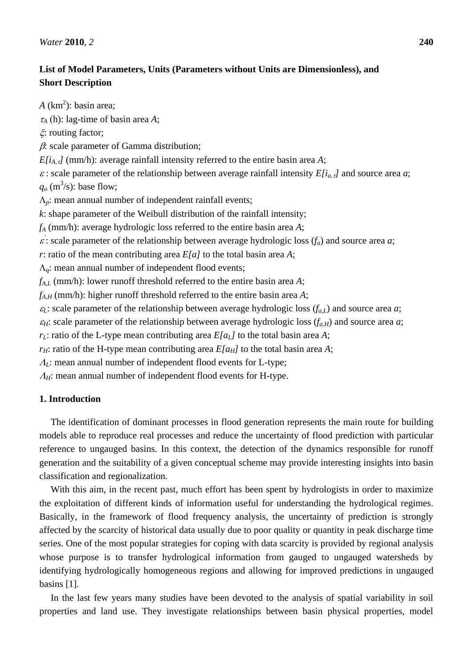# **List of Model Parameters, Units (Parameters without Units are Dimensionless), and Short Description**

 $A$  ( $km<sup>2</sup>$ ): basin area;  $\tau_A$  (h): lag-time of basin area *A*;

 $\zeta$ : routing factor;

 $\beta$ : scale parameter of Gamma distribution;

 $E[i_{A, \tau}]$  (mm/h): average rainfall intensity referred to the entire basin area *A*;

 $\varepsilon$ : scale parameter of the relationship between average rainfall intensity  $E[i_{a},j]$  and source area *a*;  $q_o$  (m<sup>3</sup>/s): base flow;

 $\Lambda_p$ : mean annual number of independent rainfall events;

*k*: shape parameter of the Weibull distribution of the rainfall intensity;

*f<sup>A</sup>* (mm/h): average hydrologic loss referred to the entire basin area *A*;

 $\epsilon'$ : scale parameter of the relationship between average hydrologic loss  $(f_a)$  and source area *a*;

*r*: ratio of the mean contributing area *E[a]* to the total basin area *A*;

 $\Lambda_q$ : mean annual number of independent flood events;

*fA,L* (mm/h): lower runoff threshold referred to the entire basin area *A*;

*fA,H* (mm/h): higher runoff threshold referred to the entire basin area *A*;

 $\varepsilon_L$ : scale parameter of the relationship between average hydrologic loss  $(f_{a,L})$  and source area *a*;

 $\epsilon_H$ : scale parameter of the relationship between average hydrologic loss  $(f_{a,H})$  and source area *a*;

*r*<sub>*L*</sub>: ratio of the L-type mean contributing area  $E[a_L]$  to the total basin area *A*;

*r<sub>H</sub>*: ratio of the H-type mean contributing area  $E[a_H]$  to the total basin area *A*;

*A*<sub>L</sub>: mean annual number of independent flood events for L-type;

*A<sub>H</sub>*: mean annual number of independent flood events for H-type.

# **1. Introduction**

The identification of dominant processes in flood generation represents the main route for building models able to reproduce real processes and reduce the uncertainty of flood prediction with particular reference to ungauged basins. In this context, the detection of the dynamics responsible for runoff generation and the suitability of a given conceptual scheme may provide interesting insights into basin classification and regionalization.

With this aim, in the recent past, much effort has been spent by hydrologists in order to maximize the exploitation of different kinds of information useful for understanding the hydrological regimes. Basically, in the framework of flood frequency analysis, the uncertainty of prediction is strongly affected by the scarcity of historical data usually due to poor quality or quantity in peak discharge time series. One of the most popular strategies for coping with data scarcity is provided by regional analysis whose purpose is to transfer hydrological information from gauged to ungauged watersheds by identifying hydrologically homogeneous regions and allowing for improved predictions in ungauged basins [1].

In the last few years many studies have been devoted to the analysis of spatial variability in soil properties and land use. They investigate relationships between basin physical properties, model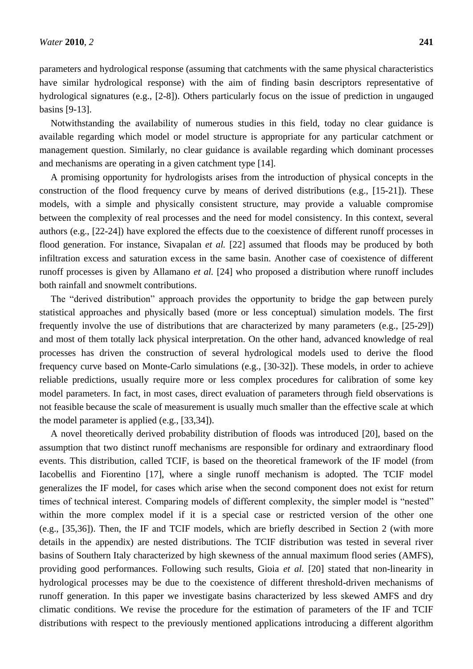parameters and hydrological response (assuming that catchments with the same physical characteristics have similar hydrological response) with the aim of finding basin descriptors representative of hydrological signatures (e.g., [2-8]). Others particularly focus on the issue of prediction in ungauged basins [9-13].

Notwithstanding the availability of numerous studies in this field, today no clear guidance is available regarding which model or model structure is appropriate for any particular catchment or management question. Similarly, no clear guidance is available regarding which dominant processes and mechanisms are operating in a given catchment type [14].

A promising opportunity for hydrologists arises from the introduction of physical concepts in the construction of the flood frequency curve by means of derived distributions (e.g., [15-21]). These models, with a simple and physically consistent structure, may provide a valuable compromise between the complexity of real processes and the need for model consistency. In this context, several authors (e.g., [22-24]) have explored the effects due to the coexistence of different runoff processes in flood generation. For instance, Sivapalan *et al.* [22] assumed that floods may be produced by both infiltration excess and saturation excess in the same basin. Another case of coexistence of different runoff processes is given by Allamano *et al.* [24] who proposed a distribution where runoff includes both rainfall and snowmelt contributions.

The "derived distribution" approach provides the opportunity to bridge the gap between purely statistical approaches and physically based (more or less conceptual) simulation models. The first frequently involve the use of distributions that are characterized by many parameters (e.g., [25-29]) and most of them totally lack physical interpretation. On the other hand, advanced knowledge of real processes has driven the construction of several hydrological models used to derive the flood frequency curve based on Monte-Carlo simulations (e.g., [30-32]). These models, in order to achieve reliable predictions, usually require more or less complex procedures for calibration of some key model parameters. In fact, in most cases, direct evaluation of parameters through field observations is not feasible because the scale of measurement is usually much smaller than the effective scale at which the model parameter is applied (e.g., [33,34]).

A novel theoretically derived probability distribution of floods was introduced [20], based on the assumption that two distinct runoff mechanisms are responsible for ordinary and extraordinary flood events. This distribution, called TCIF, is based on the theoretical framework of the IF model (from Iacobellis and Fiorentino [17], where a single runoff mechanism is adopted. The TCIF model generalizes the IF model, for cases which arise when the second component does not exist for return times of technical interest. Comparing models of different complexity, the simpler model is "nested" within the more complex model if it is a special case or restricted version of the other one (e.g., [35,36]). Then, the IF and TCIF models, which are briefly described in Section 2 (with more details in the appendix) are nested distributions. The TCIF distribution was tested in several river basins of Southern Italy characterized by high skewness of the annual maximum flood series (AMFS), providing good performances. Following such results, Gioia *et al.* [20] stated that non-linearity in hydrological processes may be due to the coexistence of different threshold-driven mechanisms of runoff generation. In this paper we investigate basins characterized by less skewed AMFS and dry climatic conditions. We revise the procedure for the estimation of parameters of the IF and TCIF distributions with respect to the previously mentioned applications introducing a different algorithm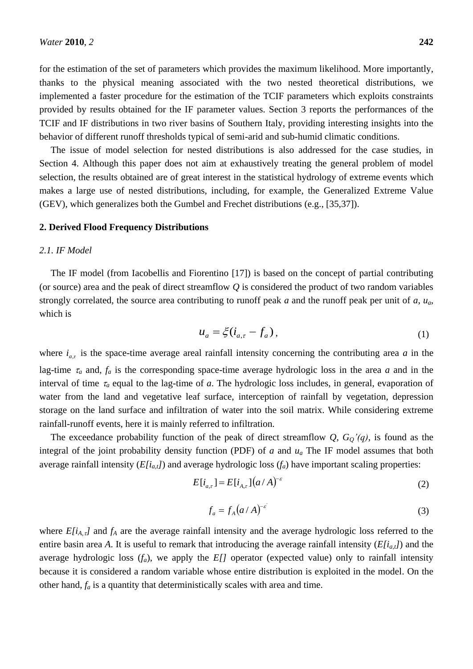for the estimation of the set of parameters which provides the maximum likelihood. More importantly, thanks to the physical meaning associated with the two nested theoretical distributions, we implemented a faster procedure for the estimation of the TCIF parameters which exploits constraints provided by results obtained for the IF parameter values. Section 3 reports the performances of the TCIF and IF distributions in two river basins of Southern Italy, providing interesting insights into the behavior of different runoff thresholds typical of semi-arid and sub-humid climatic conditions.

The issue of model selection for nested distributions is also addressed for the case studies, in Section 4. Although this paper does not aim at exhaustively treating the general problem of model selection, the results obtained are of great interest in the statistical hydrology of extreme events which makes a large use of nested distributions, including, for example, the Generalized Extreme Value (GEV), which generalizes both the Gumbel and Frechet distributions (e.g., [35,37]).

#### **2. Derived Flood Frequency Distributions**

## *2.1. IF Model*

The IF model (from Iacobellis and Fiorentino [17]) is based on the concept of partial contributing (or source) area and the peak of direct streamflow *Q* is considered the product of two random variables strongly correlated, the source area contributing to runoff peak *a* and the runoff peak per unit of *a*, *ua*, which is

$$
u_a = \xi(i_{a,\tau} - f_a), \tag{1}
$$

where  $i_{a,\tau}$  is the space-time average areal rainfall intensity concerning the contributing area *a* in the lag-time  $\tau_a$  and,  $f_a$  is the corresponding space-time average hydrologic loss in the area *a* and in the interval of time  $\tau_a$  equal to the lag-time of  $a$ . The hydrologic loss includes, in general, evaporation of water from the land and vegetative leaf surface, interception of rainfall by vegetation, depression storage on the land surface and infiltration of water into the soil matrix. While considering extreme rainfall-runoff events, here it is mainly referred to infiltration.

The exceedance probability function of the peak of direct streamflow  $Q$ ,  $G_O$ '(q), is found as the integral of the joint probability density function (PDF) of *a* and *u<sup>a</sup>* The IF model assumes that both average rainfall intensity  $(E[i_{a,t}])$  and average hydrologic loss  $(f_a)$  have important scaling properties:

$$
E[i_{a,\tau}] = E[i_{A,\tau}](a/A)^{-\varepsilon}
$$
\n(2)

$$
f_a = f_A (a/A)^{-\varepsilon} \tag{3}
$$

where  $E[i_{A,\tau}]$  and  $f_A$  are the average rainfall intensity and the average hydrologic loss referred to the entire basin area A. It is useful to remark that introducing the average rainfall intensity  $(E[i_{a,t}])$  and the average hydrologic loss  $(f_a)$ , we apply the  $E/J$  operator (expected value) only to rainfall intensity because it is considered a random variable whose entire distribution is exploited in the model. On the other hand, *f<sup>a</sup>* is a quantity that deterministically scales with area and time.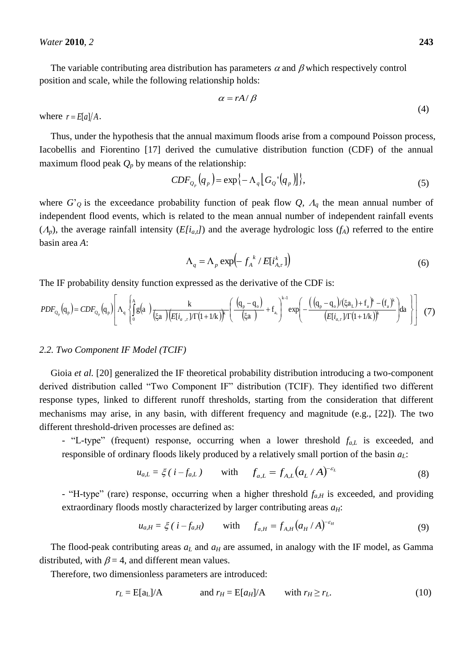The variable contributing area distribution has parameters  $\alpha$  and  $\beta$  which respectively control position and scale, while the following relationship holds:

$$
\alpha = rA/\beta \tag{4}
$$

where  $r = E[a]/A$ .

Thus, under the hypothesis that the annual maximum floods arise from a compound Poisson process, Iacobellis and Fiorentino [17] derived the cumulative distribution function (CDF) of the annual maximum flood peak  $Q_p$  by means of the relationship:

$$
CDF_{Q_p}(q_p) = \exp\{-\Lambda_q[G_Q'(q_p)]\},\tag{5}
$$

where  $G'_{\mathcal{Q}}$  is the exceedance probability function of peak flow  $Q$ ,  $A_q$  the mean annual number of independent flood events, which is related to the mean annual number of independent rainfall events  $(A_p)$ , the average rainfall intensity  $(E[i_{a,t}])$  and the average hydrologic loss  $(f_A)$  referred to the entire basin area *A*:

$$
\Lambda_q = \Lambda_p \exp\left(-\int_A^k / E[i_{A,\tau}^k]\right) \tag{6}
$$

The IF probability density function expressed as the derivative of the CDF is:

$$
PDF_{Q_p}(q_p) = CDF_{Q_p}(q_p) \left[ \Lambda_q \left\{ \int_0^A g(a) \frac{k}{(\xi a) (\xi i_{a,r})/\Gamma(1+1/k)} \left( \frac{(q_p - q_o)}{(\xi a)} + f_{a} \right)^{k-1} \exp\left( - \frac{((q_p - q_o)/(\xi a_L) + f_a)^k - (f_a)^k}{(E[i_{a,r})/\Gamma(1+1/k)})^k \right) \right] \right]
$$
(7)

#### *2.2. Two Component IF Model (TCIF)*

Gioia *et al.* [20] generalized the IF theoretical probability distribution introducing a two-component derived distribution called "Two Component IF" distribution (TCIF). They identified two different response types, linked to different runoff thresholds, starting from the consideration that different mechanisms may arise, in any basin, with different frequency and magnitude (e.g., [22]). The two different threshold-driven processes are defined as:

- "L-type" (frequent) response, occurring when a lower threshold  $f_{a,L}$  is exceeded, and responsible of ordinary floods likely produced by a relatively small portion of the basin *aL*:

$$
u_{a,L} = \xi (i - f_{a,L}) \quad \text{with} \quad f_{a,L} = f_{A,L} (a_L / A)^{-\varepsilon_L} \tag{8}
$$

- "H-type" (rare) response, occurring when a higher threshold  $f_{a,H}$  is exceeded, and providing extraordinary floods mostly characterized by larger contributing areas *aH*:

$$
u_{a,H} = \xi (i - f_{a,H}) \quad \text{with} \quad f_{a,H} = f_{A,H} (a_H / A)^{-\varepsilon_H} \tag{9}
$$

The flood-peak contributing areas *a<sup>L</sup>* and *a<sup>H</sup>* are assumed, in analogy with the IF model, as Gamma distributed, with  $\beta = 4$ , and different mean values.

Therefore, two dimensionless parameters are introduced:

$$
r_L = E[a_L]/A \qquad \text{and } r_H = E[a_H]/A \qquad \text{with } r_H \ge r_L. \tag{10}
$$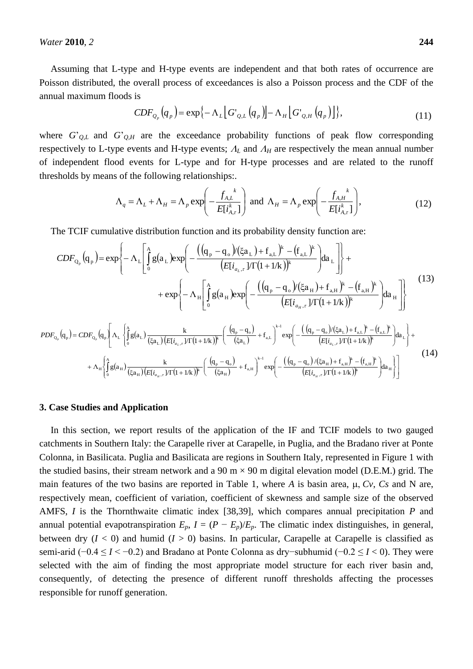Assuming that L-type and H-type events are independent and that both rates of occurrence are Poisson distributed, the overall process of exceedances is also a Poisson process and the CDF of the annual maximum floods is

$$
CDF_{Q_p}(q_p) = \exp\left\{-\Lambda_L \left[G'_{Q,L}(q_p)\right] - \Lambda_H \left[G'_{Q,H}(q_p)\right]\right\},\tag{11}
$$

where  $G'_{Q,L}$  and  $G'_{Q,H}$  are the exceedance probability functions of peak flow corresponding respectively to L-type events and H-type events;  $A_L$  and  $A_H$  are respectively the mean annual number of independent flood events for L-type and for H-type processes and are related to the runoff thresholds by means of the following relationships:.

$$
\Lambda_q = \Lambda_L + \Lambda_H = \Lambda_p \exp\left(-\frac{f_{A,L}}{E[i_{A,\tau}^k]}\right) \text{ and } \Lambda_H = \Lambda_p \exp\left(-\frac{f_{A,H}}{E[i_{A,\tau}^k]}\right),\tag{12}
$$

The TCIF cumulative distribution function and its probability density function are:

$$
CDF_{Q_p}(q_p) = exp\left\{-\Lambda_L \left[ \int_0^A g(a_L) exp\left(-\frac{((q_p - q_o)/(\xi a_L) + f_{a,L})^k - (f_{a,L})^k}{(E[i_{a_L, \tau}]/\Gamma(1+1/k))^k} \right) da_L \right] \right\} + exp\left\{-\Lambda_H \left[ \int_0^A g(a_H) exp\left(-\frac{((q_p - q_o)/( \xi a_H) + f_{a,H})^k - (f_{a,H})^k}{(E[i_{a_H, \tau}]/\Gamma(1+1/k))^k} \right) da_H \right] \right\}
$$
(13)  

$$
PDF_{Q_p}(q_p) = CDF_{Q_p}(q_p) \left[\Lambda_L \left\{ \int_0^A g(a_L) \frac{k}{(\xi a_L)(E[i_{a_L, \tau}]/\Gamma(1+1/k))^k} \left(\frac{(q_p - q_o)}{(\xi a_L)} + f_{a,L}\right)^{k-1} exp\left(-\frac{((q_p - q_o)/( \xi a_L) + f_{a,L})^k - (f_{a,L})^k}{(E[i_{a_L, \tau}]/\Gamma(1+1/k))^k} \right) da_L \right\} + \frac{1}{2} \left[\frac{1}{2} \left(\frac{1}{\xi a_L}\right) \left(\frac{1}{\xi a_L}\right) \left(\frac{k}{(\xi a_L)(E[i_{a_L, \tau}]/\Gamma(1+1/k))^k} \left(\frac{(q_p - q_o)}{(\xi a_L)} + f_{a,L}\right)^{k-1} exp\left(-\frac{((q_p - q_o)/( \xi a_L) + f_{a,L})^k - (f_{a,L})^k}{(E[i_{a_L, \tau}]/\Gamma(1+1/k))^k} \right) da_L \right\} + \frac{1}{2} \left[\frac{1}{2} \left(\frac{1}{\xi a_L}\right) \left(\frac{1}{\xi a_L}\right) \left(\frac{k}{(\xi a_L)(E[i_{a_L, \tau}]/\Gamma(1+1/k))^k} \left(\frac{(q_p - q_o)}{(\xi a_L)} + f_{a,L}\right)^{k-1} exp\left(-\frac{(q_p - q_o)/( \xi a_L) + f_{a,L})^k}{(E[i_{a_L, \tau}]/\Gamma(1+1/k))^k} \right) \right] \right] \tag{14}
$$

$$
+\Lambda_{H}\left\{\int_{0}^{A}g(a_{H})\frac{k}{(\xi a_{H})(E[i_{a_{H},T}]/\Gamma(1+1/k))^{k}}\left(\frac{(q_{p}-q_{o})}{(\xi a_{H})}+f_{a,H}\right)^{k-1}\exp\left(-\frac{((q_{p}-q_{o})/(\xi a_{H})+f_{a,H})^{k}-(f_{a,H})^{k}}{(E[i_{a_{H},T}]/\Gamma(1+1/k))^{k}}\right)da_{H}\right\}\right]
$$
(14)

#### **3. Case Studies and Application**

In this section, we report results of the application of the IF and TCIF models to two gauged catchments in Southern Italy: the Carapelle river at Carapelle, in Puglia, and the Bradano river at Ponte Colonna, in Basilicata. Puglia and Basilicata are regions in Southern Italy, represented in Figure 1 with the studied basins, their stream network and a 90 m  $\times$  90 m digital elevation model (D.E.M.) grid. The main features of the two basins are reported in Table 1, where A is basin area,  $\mu$ ,  $Cv$ ,  $Cs$  and N are, respectively mean, coefficient of variation, coefficient of skewness and sample size of the observed AMFS, *I* is the Thornthwaite climatic index [38,39], which compares annual precipitation *P* and annual potential evapotranspiration  $E_p$ ,  $I = (P - E_p)/E_p$ . The climatic index distinguishes, in general, between dry  $(I < 0)$  and humid  $(I > 0)$  basins. In particular, Carapelle at Carapelle is classified as semi-arid (−0.4 ≤ *I* < −0.2) and Bradano at Ponte Colonna as dry−subhumid (−0.2 ≤ *I* < 0). They were selected with the aim of finding the most appropriate model structure for each river basin and, consequently, of detecting the presence of different runoff thresholds affecting the processes responsible for runoff generation.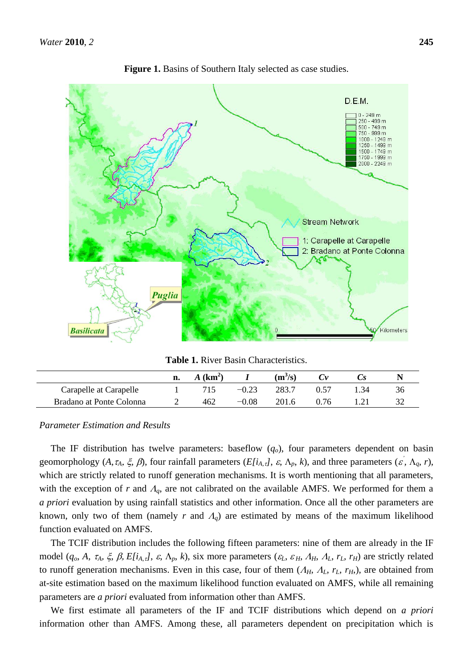

**Figure 1.** Basins of Southern Italy selected as case studies.

**Table 1.** River Basin Characteristics.

|                          | n. | $(km^2)$ |              | $(m^3/s)$ |              | ພ   |    |
|--------------------------|----|----------|--------------|-----------|--------------|-----|----|
| Carapelle at Carapelle   |    | 715      |              | 283.7     | በ 57         | -34 | 36 |
| Bradano at Ponte Colonna |    | 462      | $\cdot 0.08$ | 201.6     | $^{\circ}76$ |     |    |

#### *Parameter Estimation and Results*

The IF distribution has twelve parameters: baseflow  $(q_o)$ , four parameters dependent on basin geomorphology  $(A, \tau_A, \xi, \beta)$ , four rainfall parameters  $(E[i_{A, \tau}], \varepsilon, \Lambda_p, k)$ , and three parameters  $(\varepsilon, \Lambda_q, r)$ , which are strictly related to runoff generation mechanisms. It is worth mentioning that all parameters, with the exception of  $r$  and  $A_q$ , are not calibrated on the available AMFS. We performed for them a *a priori* evaluation by using rainfall statistics and other information. Once all the other parameters are known, only two of them (namely *r* and  $A_q$ ) are estimated by means of the maximum likelihood function evaluated on AMFS.

The TCIF distribution includes the following fifteen parameters: nine of them are already in the IF model  $(q_o, A, \tau_A, \xi, \beta, E[i_{A, \tau}], \varepsilon, \Lambda_p, k)$ , six more parameters  $(\varepsilon_L, \varepsilon_H, A_H, A_L, r_L, r_H)$  are strictly related to runoff generation mechanisms. Even in this case, four of them  $(A_H, A_L, r_L, r_H)$ , are obtained from at-site estimation based on the maximum likelihood function evaluated on AMFS, while all remaining parameters are *a priori* evaluated from information other than AMFS.

We first estimate all parameters of the IF and TCIF distributions which depend on *a priori* information other than AMFS. Among these, all parameters dependent on precipitation which is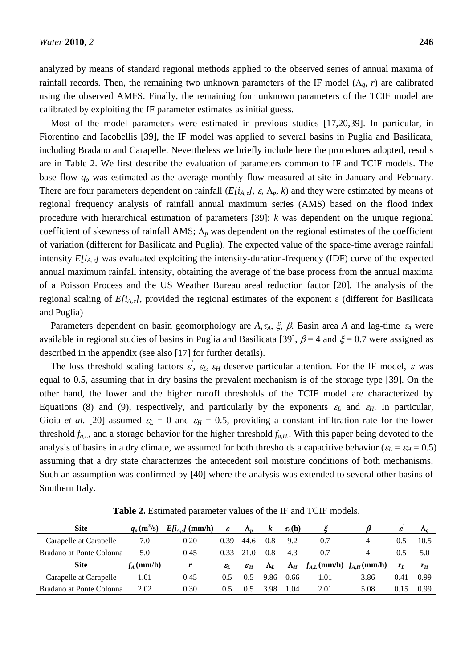analyzed by means of standard regional methods applied to the observed series of annual maxima of rainfall records. Then, the remaining two unknown parameters of the IF model  $(\Lambda_a, r)$  are calibrated using the observed AMFS. Finally, the remaining four unknown parameters of the TCIF model are calibrated by exploiting the IF parameter estimates as initial guess.

Most of the model parameters were estimated in previous studies [17,20,39]. In particular, in Fiorentino and Iacobellis [39], the IF model was applied to several basins in Puglia and Basilicata, including Bradano and Carapelle. Nevertheless we briefly include here the procedures adopted, results are in Table 2. We first describe the evaluation of parameters common to IF and TCIF models. The base flow *q<sup>o</sup>* was estimated as the average monthly flow measured at-site in January and February. There are four parameters dependent on rainfall ( $E[i_{A,\tau}$ *,*  $\varepsilon$ *,*  $\Lambda_p$ *, k*) and they were estimated by means of regional frequency analysis of rainfall annual maximum series (AMS) based on the flood index procedure with hierarchical estimation of parameters [39]: *k* was dependent on the unique regional coefficient of skewness of rainfall AMS;  $\Lambda_p$  was dependent on the regional estimates of the coefficient of variation (different for Basilicata and Puglia). The expected value of the space-time average rainfall intensity *E[iA,]* was evaluated exploiting the intensity-duration-frequency (IDF) curve of the expected annual maximum rainfall intensity, obtaining the average of the base process from the annual maxima of a Poisson Process and the US Weather Bureau areal reduction factor [20]. The analysis of the regional scaling of  $E[i_{A, \tau}]$ , provided the regional estimates of the exponent  $\varepsilon$  (different for Basilicata and Puglia)

Parameters dependent on basin geomorphology are A,  $\tau_A$ ,  $\xi$ ,  $\beta$ . Basin area A and lag-time  $\tau_A$  were available in regional studies of basins in Puglia and Basilicata [39],  $\beta$  = 4 and  $\xi$  = 0.7 were assigned as described in the appendix (see also [17] for further details).

The loss threshold scaling factors  $\vec{\epsilon}$ ,  $\epsilon_L$ ,  $\epsilon_H$  deserve particular attention. For the IF model,  $\vec{\epsilon}$  was equal to 0.5, assuming that in dry basins the prevalent mechanism is of the storage type [39]. On the other hand, the lower and the higher runoff thresholds of the TCIF model are characterized by Equations (8) and (9), respectively, and particularly by the exponents  $\varepsilon_L$  and  $\varepsilon_H$ . In particular, Gioia *et al.* [20] assumed  $\varepsilon_L = 0$  and  $\varepsilon_H = 0.5$ , providing a constant infiltration rate for the lower threshold  $f_{a,L}$ , and a storage behavior for the higher threshold  $f_{a,H}$ . With this paper being devoted to the analysis of basins in a dry climate, we assumed for both thresholds a capacitive behavior ( $\varepsilon_L = \varepsilon_H = 0.5$ ) assuming that a dry state characterizes the antecedent soil moisture conditions of both mechanisms. Such an assumption was confirmed by [40] where the analysis was extended to several other basins of Southern Italy.

| <b>Site</b>              | $q_o$ (m <sup>3</sup> /s) | $E[i_{A, d}]$ (mm/h) | $\pmb{\varepsilon}$ | $\Lambda_n$             | k           | $\tau_A(h)$ |                                   |      | ε     | $\Lambda_a$ |
|--------------------------|---------------------------|----------------------|---------------------|-------------------------|-------------|-------------|-----------------------------------|------|-------|-------------|
| Carapelle at Carapelle   | 7.0                       | 0.20                 | 0.39                | 44.6                    | 0.8         | 9.2         | 0.7                               | 4    | 0.5   | 10.5        |
| Bradano at Ponte Colonna | 5.0                       | 0.45                 | 0.33                | - ( )                   | 0.8         | 4.3         | 0.7                               | 4    | 0.5   | 5.0         |
| <b>Site</b>              | $f_A$ (mm/h)              |                      | $\varepsilon_I$     | $\pmb{\mathcal{E}}_{H}$ | $\Lambda_L$ | $\Lambda_H$ | $f_{A,L}$ (mm/h) $f_{A,H}$ (mm/h) |      | $r_L$ | $r_H$       |
| Carapelle at Carapelle   | 1.01                      | 0.45                 | 0.5                 | 0.5                     | 9.86        | 0.66        | 1.01                              | 3.86 | 0.41  | 0.99        |
| Bradano at Ponte Colonna | 2.02                      | 0.30                 | 0.5                 | 0.5                     | 3.98        | 1.04        | 2.01                              | 5.08 | 0.15  | 0.99        |

**Table 2.** Estimated parameter values of the IF and TCIF models.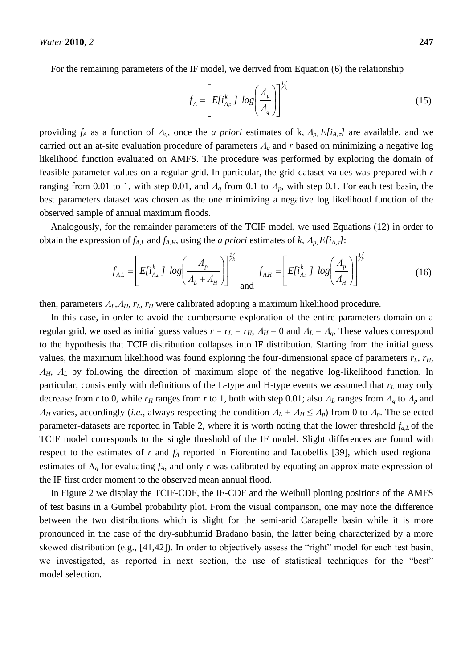For the remaining parameters of the IF model, we derived from Equation (6) the relationship

$$
f_A = \left[ E[i_{A,\tau}^k] \log \left( \frac{A_p}{A_q} \right) \right]^{1/k} \tag{15}
$$

*1*

providing  $f_A$  as a function of  $A_q$ , once the *a priori* estimates of k,  $A_p$ ,  $E[i_{A,\tau}]$  are available, and we carried out an at-site evaluation procedure of parameters  $A_q$  and r based on minimizing a negative log likelihood function evaluated on AMFS. The procedure was performed by exploring the domain of feasible parameter values on a regular grid. In particular, the grid-dataset values was prepared with *r* ranging from 0.01 to 1, with step 0.01, and  $A_q$  from 0.1 to  $A_p$ , with step 0.1. For each test basin, the best parameters dataset was chosen as the one minimizing a negative log likelihood function of the observed sample of annual maximum floods.

Analogously, for the remainder parameters of the TCIF model, we used Equations (12) in order to obtain the expression of  $f_{A,L}$  and  $f_{A,H}$ , using the *a priori* estimates of *k*,  $A_p$ ,  $E[i_{A,T}]$ :

$$
f_{A,L} = \left[ E[i_{A,\tau}^k] \log \left( \frac{A_p}{A_L + A_H} \right) \right]^{1/k} \text{ and } f_{A,H} = \left[ E[i_{A,\tau}^k] \log \left( \frac{A_p}{A_H} \right) \right]^{1/k} \tag{16}
$$

then, parameters  $A_L$ ,  $A_H$ ,  $r_L$ ,  $r_H$  were calibrated adopting a maximum likelihood procedure.

In this case, in order to avoid the cumbersome exploration of the entire parameters domain on a regular grid, we used as initial guess values  $r = r_L = r_H$ ,  $A_H = 0$  and  $A_L = A_q$ . These values correspond to the hypothesis that TCIF distribution collapses into IF distribution. Starting from the initial guess values, the maximum likelihood was found exploring the four-dimensional space of parameters  $r<sub>L</sub>$ ,  $r<sub>H</sub>$ ,  $A_H$ ,  $A_L$  by following the direction of maximum slope of the negative log-likelihood function. In particular, consistently with definitions of the L-type and H-type events we assumed that *r<sup>L</sup>* may only decrease from *r* to 0, while  $r_H$  ranges from *r* to 1, both with step 0.01; also  $A_L$  ranges from  $A_q$  to  $A_p$  and *A<sub>H</sub>* varies, accordingly (*i.e.*, always respecting the condition  $A_L + A_H \le A_p$ ) from 0 to  $A_p$ . The selected parameter-datasets are reported in Table 2, where it is worth noting that the lower threshold *fa,L* of the TCIF model corresponds to the single threshold of the IF model. Slight differences are found with respect to the estimates of *r* and *f<sup>A</sup>* reported in Fiorentino and Iacobellis [39], which used regional estimates of  $\Lambda_q$  for evaluating  $f_A$ , and only  $r$  was calibrated by equating an approximate expression of the IF first order moment to the observed mean annual flood.

In Figure 2 we display the TCIF-CDF, the IF-CDF and the Weibull plotting positions of the AMFS of test basins in a Gumbel probability plot. From the visual comparison, one may note the difference between the two distributions which is slight for the semi-arid Carapelle basin while it is more pronounced in the case of the dry-subhumid Bradano basin, the latter being characterized by a more skewed distribution (e.g.,  $[41,42]$ ). In order to objectively assess the "right" model for each test basin, we investigated, as reported in next section, the use of statistical techniques for the "best" model selection.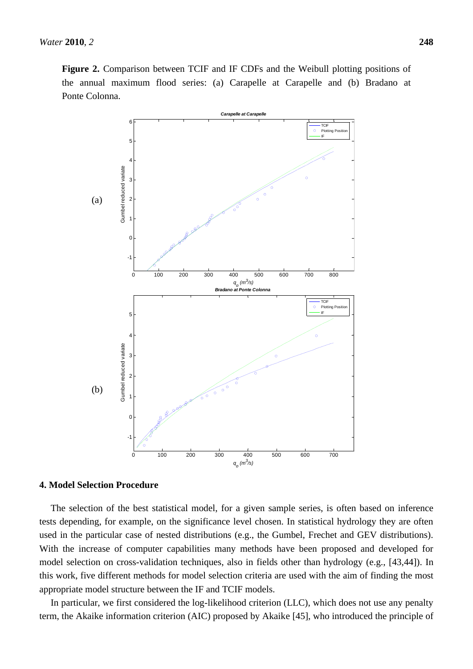

# **4. Model Selection Procedure**

The selection of the best statistical model, for a given sample series, is often based on inference tests depending, for example, on the significance level chosen. In statistical hydrology they are often used in the particular case of nested distributions (e.g., the Gumbel, Frechet and GEV distributions). With the increase of computer capabilities many methods have been proposed and developed for model selection on cross-validation techniques, also in fields other than hydrology (e.g., [43,44]). In this work, five different methods for model selection criteria are used with the aim of finding the most appropriate model structure between the IF and TCIF models.

In particular, we first considered the log-likelihood criterion (LLC), which does not use any penalty term, the Akaike information criterion (AIC) proposed by Akaike [45], who introduced the principle of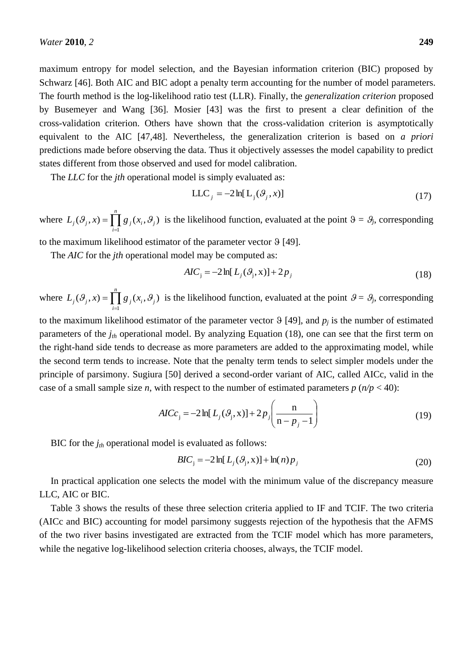maximum entropy for model selection, and the Bayesian information criterion (BIC) proposed by Schwarz [46]. Both AIC and BIC adopt a penalty term accounting for the number of model parameters. The fourth method is the log-likelihood ratio test (LLR). Finally, the *generalization criterion* proposed by Busemeyer and Wang [36]. Mosier [43] was the first to present a clear definition of the cross-validation criterion. Others have shown that the cross-validation criterion is asymptotically equivalent to the AIC [47,48]. Nevertheless, the generalization criterion is based on *a priori* predictions made before observing the data. Thus it objectively assesses the model capability to predict states different from those observed and used for model calibration.

The *LLC* for the *jth* operational model is simply evaluated as:

$$
LLC_j = -2\ln[L_j(\mathcal{G}_j, x)]\tag{17}
$$

where  $L_i(\mathcal{G}_i, x) = \prod g_i(x_i, \mathcal{G}_i)$ 1  $_i$ ,  $\sigma_j$ *n*  $L_j(\mathcal{G}_j, x) = \prod_{i=1}^n g_j(x_i, \mathcal{G}_j)$  $\mathcal{S} = \prod g_i(x_i, \theta_i)$  is the likelihood function, evaluated at the point  $\theta = \theta_j$ , corresponding

to the maximum likelihood estimator of the parameter vector  $\theta$  [49].

The *AIC* for the *jth* operational model may be computed as:

$$
AIC_j = -2\ln[L_j(\mathcal{G}_j, x)] + 2p_j \tag{18}
$$

where  $L_i(\mathcal{G}_i, x) = \prod g_i(x_i, \mathcal{G}_i)$ 1  $_i$ ,  $\sigma_j$ *n*  $L_j(\mathcal{G}_j, x) = \prod_{i=1}^n g_j(x_i, \mathcal{G}_j)$  $\mathcal{S} = \prod g_i(x_i, \theta_i)$  is the likelihood function, evaluated at the point  $\theta = \theta_j$ , corresponding

to the maximum likelihood estimator of the parameter vector  $\vartheta$  [49], and  $p_j$  is the number of estimated parameters of the *jth* operational model. By analyzing Equation (18), one can see that the first term on the right-hand side tends to decrease as more parameters are added to the approximating model, while the second term tends to increase. Note that the penalty term tends to select simpler models under the principle of parsimony. Sugiura [50] derived a second-order variant of AIC, called AICc, valid in the case of a small sample size *n*, with respect to the number of estimated parameters  $p(n/p < 40)$ :

$$
AICc_j = -2\ln[L_j(\mathcal{S}_j, x)] + 2p_j\left(\frac{n}{n - p_j - 1}\right)
$$
 (19)

BIC for the *jth* operational model is evaluated as follows:

$$
BIC_j = -2\ln[L_j(\mathcal{G}_j, x)] + \ln(n)p_j
$$
\n(20)

In practical application one selects the model with the minimum value of the discrepancy measure LLC, AIC or BIC.

Table 3 shows the results of these three selection criteria applied to IF and TCIF. The two criteria (AICc and BIC) accounting for model parsimony suggests rejection of the hypothesis that the AFMS of the two river basins investigated are extracted from the TCIF model which has more parameters, while the negative log-likelihood selection criteria chooses, always, the TCIF model.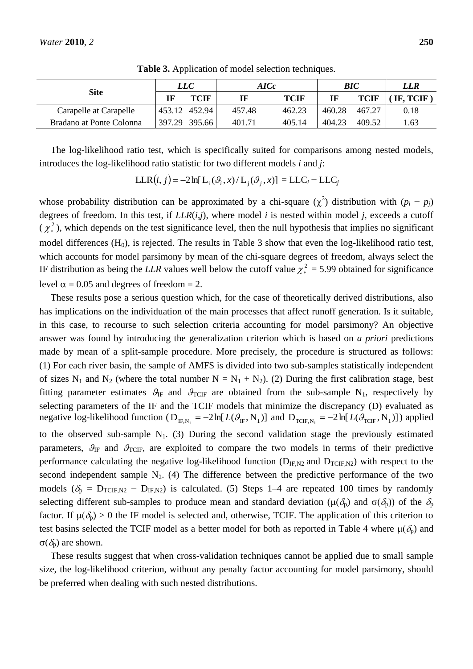|                          | LLC    |               | AICc   | BIC    |        | LLR    |          |
|--------------------------|--------|---------------|--------|--------|--------|--------|----------|
| <b>Site</b>              | IF     | TCIF          |        | TCIF   | IF     | TCIF   | IF, TCIF |
| Carapelle at Carapelle   |        | 453.12 452.94 | 457.48 | 462.23 | 460.28 | 467.27 | 0.18     |
| Bradano at Ponte Colonna | 397.29 | 395.66        | 401.71 | 405.14 | 404.23 | 409.52 | 1.63     |

**Table 3.** Application of model selection techniques.

The log-likelihood ratio test, which is specifically suited for comparisons among nested models, introduces the log-likelihood ratio statistic for two different models *i* and *j*:

$$
LLR(i, j) = -2 \ln[L_i(\mathcal{G}_i, x) / L_j(\mathcal{G}_j, x)] = LLC_i - LLC_j
$$

whose probability distribution can be approximated by a chi-square  $(\chi^2)$  distribution with  $(p_i - p_j)$ degrees of freedom. In this test, if *LLR*(*i*,*j*), where model *i* is nested within model *j*, exceeds a cutoff  $(\chi^2)$ , which depends on the test significance level, then the null hypothesis that implies no significant model differences  $(H_0)$ , is rejected. The results in Table 3 show that even the log-likelihood ratio test, which accounts for model parsimony by mean of the chi-square degrees of freedom, always select the IF distribution as being the *LLR* values well below the cutoff value  $\chi^2$  = 5.99 obtained for significance level  $\alpha = 0.05$  and degrees of freedom = 2.

These results pose a serious question which, for the case of theoretically derived distributions, also has implications on the individuation of the main processes that affect runoff generation. Is it suitable, in this case, to recourse to such selection criteria accounting for model parsimony? An objective answer was found by introducing the generalization criterion which is based on *a priori* predictions made by mean of a split-sample procedure. More precisely, the procedure is structured as follows: (1) For each river basin, the sample of AMFS is divided into two sub-samples statistically independent of sizes N<sub>1</sub> and N<sub>2</sub> (where the total number N = N<sub>1</sub> + N<sub>2</sub>). (2) During the first calibration stage, best fitting parameter estimates  $\mathcal{G}_{IF}$  and  $\mathcal{G}_{TCIF}$  are obtained from the sub-sample N<sub>1</sub>, respectively by selecting parameters of the IF and the TCIF models that minimize the discrepancy (D) evaluated as negative log-likelihood function ( $D_{IF,N_1} = -2 \ln[L(\mathcal{G}_IF,N_1)]$  and  $D_{TCIF,N_1} = -2 \ln[L(\mathcal{G}_{TCIF},N_1)]$ ) applied to the observed sub-sample  $N_1$ . (3) During the second validation stage the previously estimated parameters,  $\mathcal{G}_{IF}$  and  $\mathcal{G}_{TCIF}$ , are exploited to compare the two models in terms of their predictive performance calculating the negative log-likelihood function ( $D_{IF,N2}$  and  $D_{TCIF,N2}$ ) with respect to the second independent sample  $N_2$ . (4) The difference between the predictive performance of the two models ( $\delta_p = D_{TCIF,N2} - D_{IF,N2}$ ) is calculated. (5) Steps 1–4 are repeated 100 times by randomly selecting different sub-samples to produce mean and standard deviation ( $\mu(\delta_p)$ ) and  $\sigma(\delta_p)$ ) of the  $\delta_p$ factor. If  $\mu(\delta_p) > 0$  the IF model is selected and, otherwise, TCIF. The application of this criterion to test basins selected the TCIF model as a better model for both as reported in Table 4 where  $\mu(\delta_p)$  and  $\sigma(\delta_p)$  are shown.

These results suggest that when cross-validation techniques cannot be applied due to small sample size, the log-likelihood criterion, without any penalty factor accounting for model parsimony, should be preferred when dealing with such nested distributions.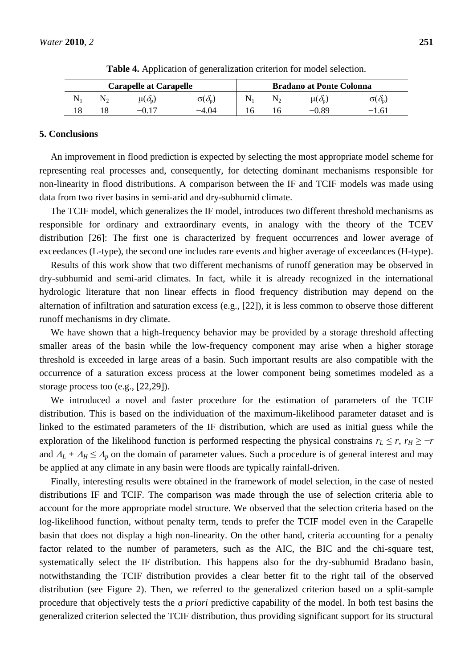| <b>Carapelle at Carapelle</b> |  |                     |                                              |  | <b>Bradano at Ponte Colonna</b> |                         |                          |  |  |
|-------------------------------|--|---------------------|----------------------------------------------|--|---------------------------------|-------------------------|--------------------------|--|--|
|                               |  | $\mu(\partial_{p})$ | $\sigma(\delta_{\!\scriptscriptstyle\rm p})$ |  |                                 | $\mu(\partial_{\rm n})$ | $\sigma(\delta_{\rm n})$ |  |  |
|                               |  | $-0.17$             | $-4.04$                                      |  |                                 | 0.89                    | $-1.61$                  |  |  |

**Table 4.** Application of generalization criterion for model selection.

### **5. Conclusions**

An improvement in flood prediction is expected by selecting the most appropriate model scheme for representing real processes and, consequently, for detecting dominant mechanisms responsible for non-linearity in flood distributions. A comparison between the IF and TCIF models was made using data from two river basins in semi-arid and dry-subhumid climate.

The TCIF model, which generalizes the IF model, introduces two different threshold mechanisms as responsible for ordinary and extraordinary events, in analogy with the theory of the TCEV distribution [26]: The first one is characterized by frequent occurrences and lower average of exceedances (L-type), the second one includes rare events and higher average of exceedances (H-type).

Results of this work show that two different mechanisms of runoff generation may be observed in dry-subhumid and semi-arid climates. In fact, while it is already recognized in the international hydrologic literature that non linear effects in flood frequency distribution may depend on the alternation of infiltration and saturation excess (e.g., [22]), it is less common to observe those different runoff mechanisms in dry climate.

We have shown that a high-frequency behavior may be provided by a storage threshold affecting smaller areas of the basin while the low-frequency component may arise when a higher storage threshold is exceeded in large areas of a basin. Such important results are also compatible with the occurrence of a saturation excess process at the lower component being sometimes modeled as a storage process too (e.g., [22,29]).

We introduced a novel and faster procedure for the estimation of parameters of the TCIF distribution. This is based on the individuation of the maximum-likelihood parameter dataset and is linked to the estimated parameters of the IF distribution, which are used as initial guess while the exploration of the likelihood function is performed respecting the physical constrains  $r_L \le r$ ,  $r_H \ge -r$ and  $A_L + A_H \leq A_p$  on the domain of parameter values. Such a procedure is of general interest and may be applied at any climate in any basin were floods are typically rainfall-driven.

Finally, interesting results were obtained in the framework of model selection, in the case of nested distributions IF and TCIF. The comparison was made through the use of selection criteria able to account for the more appropriate model structure. We observed that the selection criteria based on the log-likelihood function, without penalty term, tends to prefer the TCIF model even in the Carapelle basin that does not display a high non-linearity. On the other hand, criteria accounting for a penalty factor related to the number of parameters, such as the AIC, the BIC and the chi-square test, systematically select the IF distribution. This happens also for the dry-subhumid Bradano basin, notwithstanding the TCIF distribution provides a clear better fit to the right tail of the observed distribution (see Figure 2). Then, we referred to the generalized criterion based on a split-sample procedure that objectively tests the *a priori* predictive capability of the model. In both test basins the generalized criterion selected the TCIF distribution, thus providing significant support for its structural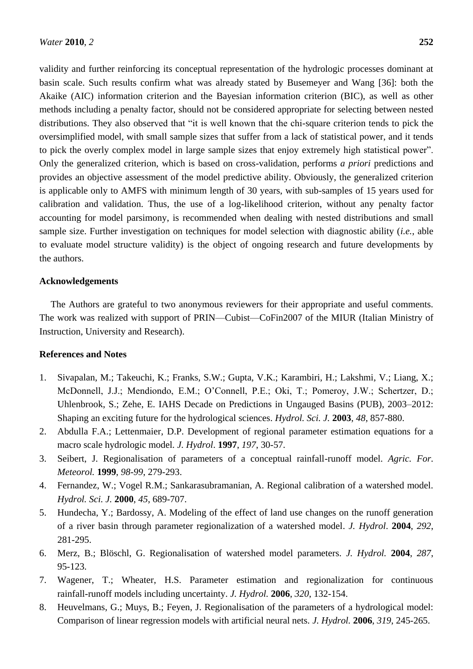validity and further reinforcing its conceptual representation of the hydrologic processes dominant at basin scale. Such results confirm what was already stated by Busemeyer and Wang [36]: both the Akaike (AIC) information criterion and the Bayesian information criterion (BIC), as well as other methods including a penalty factor, should not be considered appropriate for selecting between nested distributions. They also observed that "it is well known that the chi-square criterion tends to pick the oversimplified model, with small sample sizes that suffer from a lack of statistical power, and it tends to pick the overly complex model in large sample sizes that enjoy extremely high statistical power". Only the generalized criterion, which is based on cross-validation, performs *a priori* predictions and provides an objective assessment of the model predictive ability. Obviously, the generalized criterion is applicable only to AMFS with minimum length of 30 years, with sub-samples of 15 years used for calibration and validation. Thus, the use of a log-likelihood criterion, without any penalty factor accounting for model parsimony, is recommended when dealing with nested distributions and small sample size. Further investigation on techniques for model selection with diagnostic ability (*i.e.*, able to evaluate model structure validity) is the object of ongoing research and future developments by the authors.

# **Acknowledgements**

The Authors are grateful to two anonymous reviewers for their appropriate and useful comments. The work was realized with support of PRIN—Cubist—CoFin2007 of the MIUR (Italian Ministry of Instruction, University and Research).

### **References and Notes**

- 1. Sivapalan, M.; Takeuchi, K.; Franks, S.W.; Gupta, V.K.; Karambiri, H.; Lakshmi, V.; Liang, X.; McDonnell, J.J.; Mendiondo, E.M.; O'Connell, P.E.; Oki, T.; Pomeroy, J.W.; Schertzer, D.; Uhlenbrook, S.; Zehe, E. IAHS Decade on Predictions in Ungauged Basins (PUB), 2003–2012: Shaping an exciting future for the hydrological sciences. *Hydrol. Sci. J.* **2003**, *48*, 857-880.
- 2. Abdulla F.A.; Lettenmaier, D.P. Development of regional parameter estimation equations for a macro scale hydrologic model. *J. Hydrol*. **1997**, *197*, 30-57.
- 3. Seibert, J. Regionalisation of parameters of a conceptual rainfall-runoff model. *Agric. For. Meteorol.* **1999**, *98-99*, 279-293.
- 4. Fernandez, W.; Vogel R.M.; Sankarasubramanian, A. Regional calibration of a watershed model. *Hydrol. Sci. J.* **2000**, *45*, 689-707.
- 5. Hundecha, Y.; Bardossy, A. Modeling of the effect of land use changes on the runoff generation of a river basin through parameter regionalization of a watershed model. *J. Hydrol*. **2004**, *292*, 281-295.
- 6. Merz, B.; Blöschl, G. Regionalisation of watershed model parameters. *J. Hydrol.* **2004**, *287*, 95-123.
- 7. Wagener, T.; Wheater, H.S. Parameter estimation and regionalization for continuous rainfall-runoff models including uncertainty. *J. Hydrol.* **2006**, *320*, 132-154.
- 8. Heuvelmans, G.; Muys, B.; Feyen, J. Regionalisation of the parameters of a hydrological model: Comparison of linear regression models with artificial neural nets. *J. Hydrol.* **2006**, *319*, 245-265.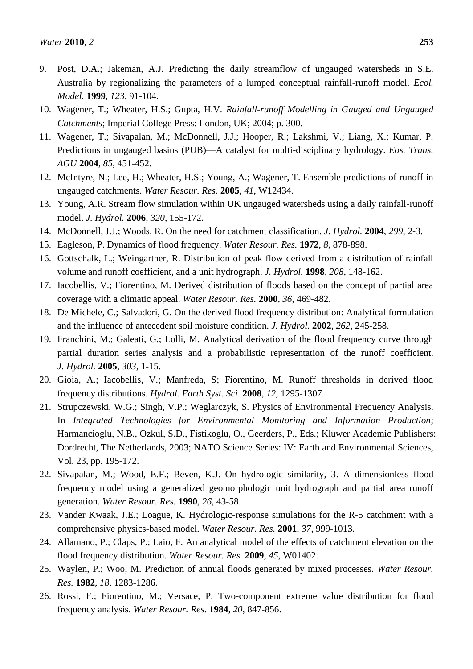- 9. Post, D.A.; Jakeman, A.J. Predicting the daily streamflow of ungauged watersheds in S.E. Australia by regionalizing the parameters of a lumped conceptual rainfall-runoff model. *Ecol. Model.* **1999**, *123*, 91-104.
- 10. Wagener, T.; Wheater, H.S.; Gupta, H.V. *Rainfall-runoff Modelling in Gauged and Ungauged Catchments*; Imperial College Press: London, UK; 2004; p. 300.
- 11. Wagener, T.; Sivapalan, M.; McDonnell, J.J.; Hooper, R.; Lakshmi, V.; Liang, X.; Kumar, P. Predictions in ungauged basins (PUB)—A catalyst for multi-disciplinary hydrology. *Eos. Trans. AGU* **2004**, *85*, 451-452.
- 12. McIntyre, N.; Lee, H.; Wheater, H.S.; Young, A.; Wagener, T. Ensemble predictions of runoff in ungauged catchments. *Water Resour. Res.* **2005**, *41*, W12434.
- 13. Young, A.R. Stream flow simulation within UK ungauged watersheds using a daily rainfall-runoff model. *J. Hydrol.* **2006**, *320*, 155-172.
- 14. McDonnell, J.J.; Woods, R. On the need for catchment classification. *J. Hydrol.* **2004**, *299*, 2-3.
- 15. Eagleson, P. Dynamics of flood frequency. *Water Resour. Res.* **1972**, *8*, 878-898.
- 16. Gottschalk, L.; Weingartner, R. Distribution of peak flow derived from a distribution of rainfall volume and runoff coefficient, and a unit hydrograph. *J. Hydrol.* **1998**, *208*, 148-162.
- 17. Iacobellis, V.; Fiorentino, M. Derived distribution of floods based on the concept of partial area coverage with a climatic appeal. *Water Resour. Res.* **2000**, *36*, 469-482.
- 18. De Michele, C.; Salvadori, G. On the derived flood frequency distribution: Analytical formulation and the influence of antecedent soil moisture condition. *J. Hydrol.* **2002**, *262*, 245-258.
- 19. Franchini, M.; Galeati, G.; Lolli, M. Analytical derivation of the flood frequency curve through partial duration series analysis and a probabilistic representation of the runoff coefficient. *J. Hydrol.* **2005**, *303*, 1-15.
- 20. Gioia, A.; Iacobellis, V.; Manfreda, S; Fiorentino, M. Runoff thresholds in derived flood frequency distributions. *Hydrol. Earth Syst. Sci*. **2008**, *12*, 1295-1307.
- 21. Strupczewski, W.G.; Singh, V.P.; Weglarczyk, S. Physics of Environmental Frequency Analysis. In *Integrated Technologies for Environmental Monitoring and Information Production*; Harmancioglu, N.B., Ozkul, S.D., Fistikoglu, O., Geerders, P., Eds.; Kluwer Academic Publishers: Dordrecht, The Netherlands, 2003; NATO Science Series: IV: Earth and Environmental Sciences, Vol. 23, pp. 195-172.
- 22. Sivapalan, M.; Wood, E.F.; Beven, K.J. On hydrologic similarity, 3. A dimensionless flood frequency model using a generalized geomorphologic unit hydrograph and partial area runoff generation. *Water Resour. Res.* **1990**, *26*, 43-58.
- 23. Vander Kwaak, J.E.; Loague, K. Hydrologic-response simulations for the R-5 catchment with a comprehensive physics-based model. *Water Resour. Res.* **2001**, *37*, 999-1013.
- 24. Allamano, P.; Claps, P.; Laio, F. An analytical model of the effects of catchment elevation on the flood frequency distribution. *Water Resour. Res.* **2009**, *45*, W01402.
- 25. Waylen, P.; Woo, M. Prediction of annual floods generated by mixed processes. *Water Resour. Res.* **1982**, *18*, 1283-1286.
- 26. Rossi, F.; Fiorentino, M.; Versace, P. Two-component extreme value distribution for flood frequency analysis. *Water Resour. Res.* **1984**, *20*, 847-856.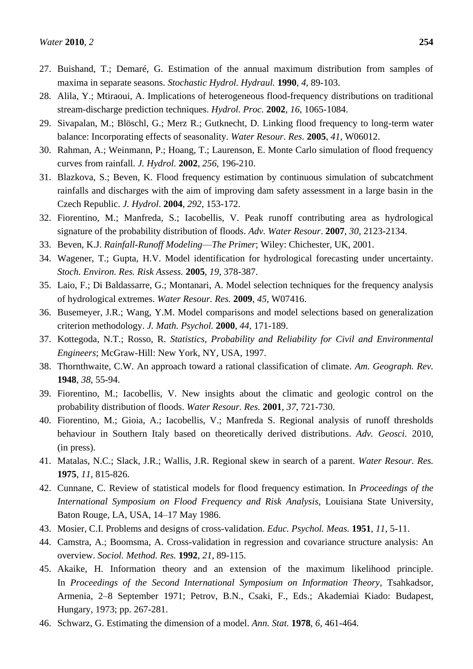- 27. Buishand, T.; Demaré, G. Estimation of the annual maximum distribution from samples of maxima in separate seasons. *Stochastic Hydrol. Hydraul.* **1990**, *4*, 89-103.
- 28. Alila, Y.; Mtiraoui, A. Implications of heterogeneous flood-frequency distributions on traditional stream-discharge prediction techniques. *Hydrol. Proc.* **2002**, *16*, 1065-1084.
- 29. Sivapalan, M.; Blöschl, G.; Merz R.; Gutknecht, D. Linking flood frequency to long-term water balance: Incorporating effects of seasonality. *Water Resour. Res.* **2005**, *41*, W06012.
- 30. Rahman, A.; Weinmann, P.; Hoang, T.; Laurenson, E. Monte Carlo simulation of flood frequency curves from rainfall*. J. Hydrol.* **2002**, *256*, 196-210.
- 31. Blazkova, S.; Beven, K. Flood frequency estimation by continuous simulation of subcatchment rainfalls and discharges with the aim of improving dam safety assessment in a large basin in the Czech Republic. *J. Hydrol*. **2004**, *292*, 153-172.
- 32. Fiorentino, M.; Manfreda, S.; Iacobellis, V. Peak runoff contributing area as hydrological signature of the probability distribution of floods. *Adv. Water Resour*. **2007**, *30*, 2123-2134.
- 33. Beven, K.J. *Rainfall-Runoff Modeling*—*The Primer*; Wiley: Chichester, UK, 2001.
- 34. Wagener, T.; Gupta, H.V. Model identification for hydrological forecasting under uncertainty. *Stoch. Environ. Res. Risk Assess.* **2005**, *19*, 378-387.
- 35. Laio, F.; Di Baldassarre, G.; Montanari, A. Model selection techniques for the frequency analysis of hydrological extremes. *Water Resour. Res.* **2009**, *45*, W07416.
- 36. Busemeyer, J.R.; Wang, Y.M. Model comparisons and model selections based on generalization criterion methodology. *J. Math. Psychol.* **2000**, *44*, 171-189.
- 37. Kottegoda, N.T.; Rosso, R. *Statistics, Probability and Reliability for Civil and Environmental Engineers*; McGraw-Hill: New York, NY, USA, 1997.
- 38. Thornthwaite, C.W. An approach toward a rational classification of climate. *Am. Geograph. Rev.*  **1948**, *38*, 55-94.
- 39. Fiorentino, M.; Iacobellis, V. New insights about the climatic and geologic control on the probability distribution of floods. *Water Resour. Res.* **2001**, *37*, 721-730.
- 40. Fiorentino, M.; Gioia, A.; Iacobellis, V.; Manfreda S. Regional analysis of runoff thresholds behaviour in Southern Italy based on theoretically derived distributions. *Adv. Geosci.* 2010, (in press).
- 41. Matalas, N.C.; Slack, J.R.; Wallis, J.R. Regional skew in search of a parent. *Water Resour. Res.*  **1975**, *11*, 815-826.
- 42. Cunnane, C. Review of statistical models for flood frequency estimation. In *Proceedings of the International Symposium on Flood Frequency and Risk Analysis*, Louisiana State University, Baton Rouge, LA, USA, 14–17 May 1986.
- 43. Mosier, C.I. Problems and designs of cross-validation. *Educ. Psychol. Meas.* **1951**, *11*, 5-11.
- 44. Camstra, A.; Boomsma, A. Cross-validation in regression and covariance structure analysis: An overview. *Sociol. Method. Res.* **1992**, *21*, 89-115.
- 45. Akaike, H. Information theory and an extension of the maximum likelihood principle. In *Proceedings of the Second International Symposium on Information Theory*, Tsahkadsor, Armenia, 2–8 September 1971; Petrov, B.N., Csaki, F., Eds.; Akademiai Kiado: Budapest, Hungary, 1973; pp. 267-281.
- 46. Schwarz, G. Estimating the dimension of a model. *Ann. Stat.* **1978**, *6*, 461-464.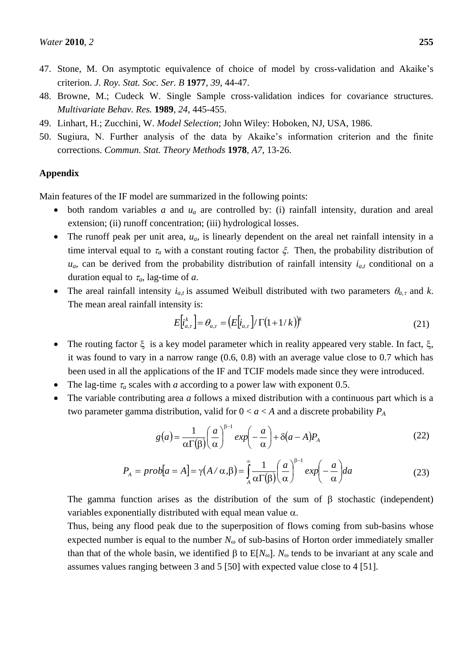- 47. Stone, M. On asymptotic equivalence of choice of model by cross-validation and Akaike's criterion. *J. Roy. Stat. Soc. Ser. B* **1977**, *39*, 44-47.
- 48. Browne, M.; Cudeck W. Single Sample cross-validation indices for covariance structures. *Multivariate Behav. Res.* **1989**, *24*, 445-455.
- 49. Linhart, H.; Zucchini, W. *Model Selection*; John Wiley: Hoboken, NJ, USA, 1986.
- 50. Sugiura, N. Further analysis of the data by Akaike's information criterion and the finite corrections. *Commun. Stat. Theory Methods* **1978**, *A7*, 13-26.

# **Appendix**

Main features of the IF model are summarized in the following points:

- both random variables *a* and *u<sup>a</sup>* are controlled by: (i) rainfall intensity, duration and areal extension; (ii) runoff concentration; (iii) hydrological losses.
- The runoff peak per unit area, *ua*, is linearly dependent on the areal net rainfall intensity in a time interval equal to  $\tau_a$  with a constant routing factor  $\xi$ . Then, the probability distribution of  $u_a$ , can be derived from the probability distribution of rainfall intensity  $i_{a,t}$  conditional on a duration equal to  $\tau_a$ , lag-time of *a*.
- The areal rainfall intensity  $i_{a,t}$  is assumed Weibull distributed with two parameters  $\theta_{a,\tau}$  and *k*. The mean areal rainfall intensity is:

$$
E\left[i_{a,\tau}^{k}\right] = \theta_{a,\tau} = \left(E\left[i_{a,\tau}\right] / \Gamma\left(1 + 1/k\right)\right)^{k} \tag{21}
$$

- The routing factor  $\xi$  is a key model parameter which in reality appeared very stable. In fact,  $\xi$ , it was found to vary in a narrow range (0.6, 0.8) with an average value close to 0.7 which has been used in all the applications of the IF and TCIF models made since they were introduced.
- The lag-time  $\tau_a$  scales with *a* according to a power law with exponent 0.5.
- The variable contributing area *a* follows a mixed distribution with a continuous part which is a two parameter gamma distribution, valid for  $0 < a < A$  and a discrete probability  $P_A$

$$
g(a) = \frac{1}{\alpha \Gamma(\beta)} \left(\frac{a}{\alpha}\right)^{\beta - 1} \exp\left(-\frac{a}{\alpha}\right) + \delta(a - A)P_A
$$
 (22)

$$
P_A = prob[a = A] = \gamma(A \wedge \alpha, \beta) = \int_A^{\infty} \frac{1}{\alpha \Gamma(\beta)} \left(\frac{a}{\alpha}\right)^{\beta - 1} exp\left(-\frac{a}{\alpha}\right) da \tag{23}
$$

The gamma function arises as the distribution of the sum of  $\beta$  stochastic (independent) variables exponentially distributed with equal mean value  $\alpha$ .

Thus, being any flood peak due to the superposition of flows coming from sub-basins whose expected number is equal to the number  $N_{\omega}$  of sub-basins of Horton order immediately smaller than that of the whole basin, we identified  $\beta$  to  $E[N_{\omega}]$ .  $N_{\omega}$  tends to be invariant at any scale and assumes values ranging between 3 and 5 [50] with expected value close to 4 [51].